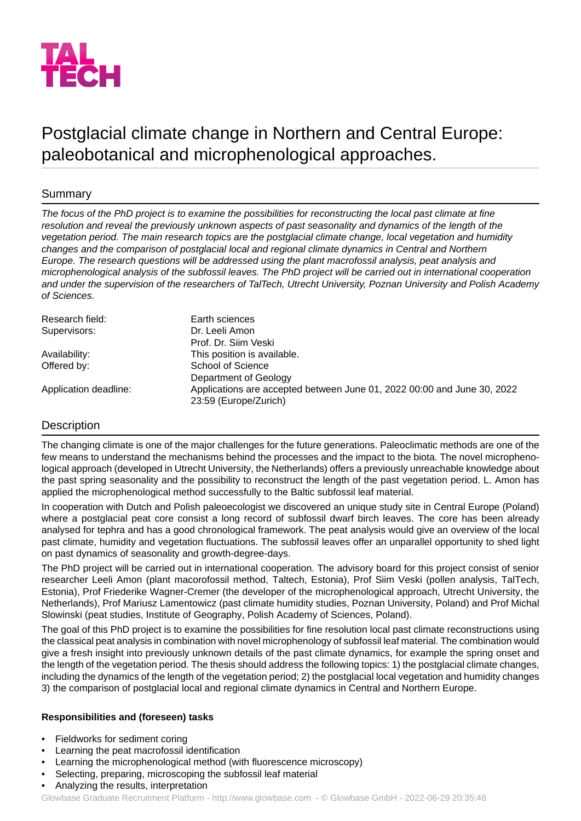

# Postglacial climate change in Northern and Central Europe: paleobotanical and microphenological approaches.

## Summary

*The focus of the PhD project is to examine the possibilities for reconstructing the local past climate at fine resolution and reveal the previously unknown aspects of past seasonality and dynamics of the length of the vegetation period. The main research topics are the postglacial climate change, local vegetation and humidity changes and the comparison of postglacial local and regional climate dynamics in Central and Northern Europe. The research questions will be addressed using the plant macrofossil analysis, peat analysis and microphenological analysis of the subfossil leaves. The PhD project will be carried out in international cooperation* and under the supervision of the researchers of TalTech, Utrecht University, Poznan University and Polish Academy *of Sciences.*

| Research field:       | Earth sciences                                                          |
|-----------------------|-------------------------------------------------------------------------|
| Supervisors:          | Dr. Leeli Amon                                                          |
|                       | Prof. Dr. Siim Veski                                                    |
| Availability:         | This position is available.                                             |
| Offered by:           | School of Science                                                       |
|                       | Department of Geology                                                   |
| Application deadline: | Applications are accepted between June 01, 2022 00:00 and June 30, 2022 |
|                       | 23:59 (Europe/Zurich)                                                   |

## **Description**

The changing climate is one of the major challenges for the future generations. Paleoclimatic methods are one of the few means to understand the mechanisms behind the processes and the impact to the biota. The novel microphenological approach (developed in Utrecht University, the Netherlands) offers a previously unreachable knowledge about the past spring seasonality and the possibility to reconstruct the length of the past vegetation period. L. Amon has applied the microphenological method successfully to the Baltic subfossil leaf material.

In cooperation with Dutch and Polish paleoecologist we discovered an unique study site in Central Europe (Poland) where a postglacial peat core consist a long record of subfossil dwarf birch leaves. The core has been already analysed for tephra and has a good chronological framework. The peat analysis would give an overview of the local past climate, humidity and vegetation fluctuations. The subfossil leaves offer an unparallel opportunity to shed light on past dynamics of seasonality and growth-degree-days.

The PhD project will be carried out in international cooperation. The advisory board for this project consist of senior researcher Leeli Amon (plant macorofossil method, Taltech, Estonia), Prof Siim Veski (pollen analysis, TalTech, Estonia), Prof Friederike Wagner-Cremer (the developer of the microphenological approach, Utrecht University, the Netherlands), Prof Mariusz Lamentowicz (past climate humidity studies, Poznan University, Poland) and Prof Michal Slowinski (peat studies, Institute of Geography, Polish Academy of Sciences, Poland).

The goal of this PhD project is to examine the possibilities for fine resolution local past climate reconstructions using the classical peat analysis in combination with novel microphenology of subfossil leaf material. The combination would give a fresh insight into previously unknown details of the past climate dynamics, for example the spring onset and the length of the vegetation period. The thesis should address the following topics: 1) the postglacial climate changes, including the dynamics of the length of the vegetation period; 2) the postglacial local vegetation and humidity changes 3) the comparison of postglacial local and regional climate dynamics in Central and Northern Europe.

### **Responsibilities and (foreseen) tasks**

- Fieldworks for sediment coring
- Learning the peat macrofossil identification
- Learning the microphenological method (with fluorescence microscopy)
- Selecting, preparing, microscoping the subfossil leaf material
- Analyzing the results, interpretation

Glowbase Graduate Recruitment Platform -<http://www.glowbase.com> - © Glowbase GmbH - 2022-06-29 20:35:48